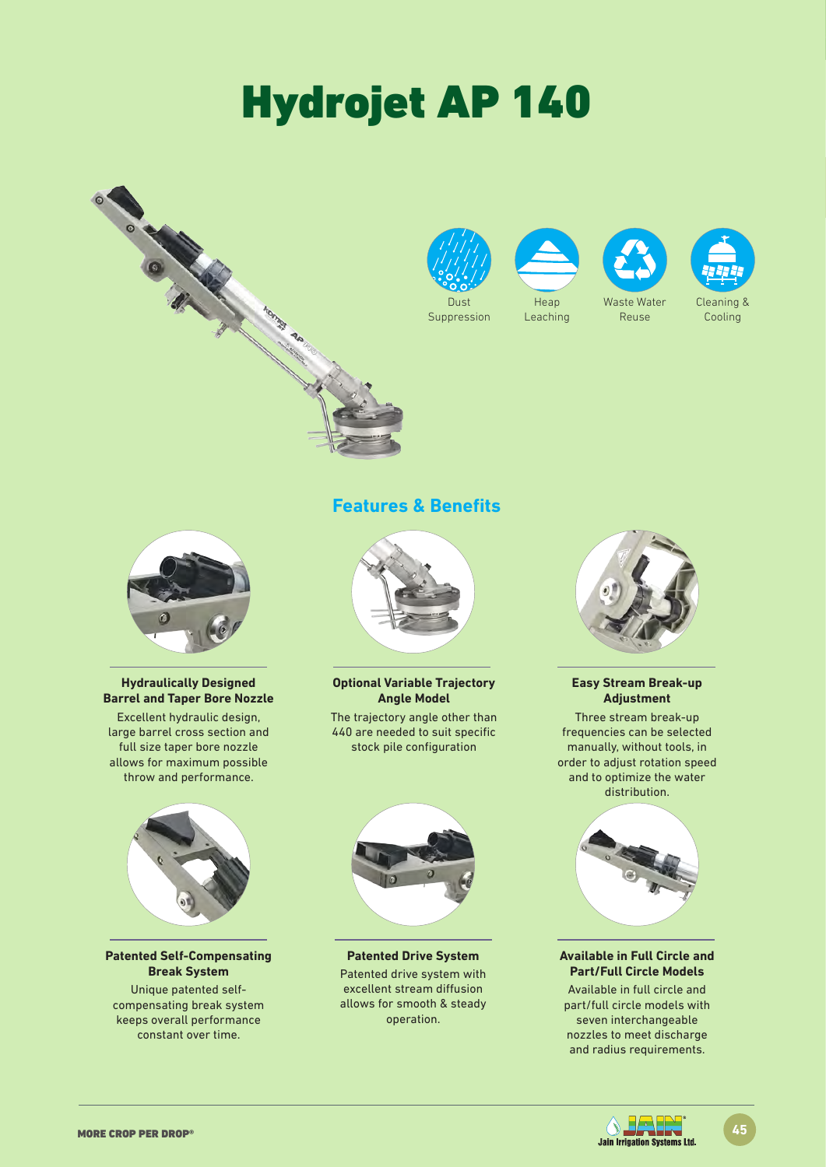# Hydrojet AP 140





Suppression



Leaching



Reuse



Cooling



### **Hydraulically Designed Barrel and Taper Bore Nozzle**

Excellent hydraulic design, large barrel cross section and full size taper bore nozzle allows for maximum possible throw and performance.



### **Patented Self-Compensating Break System**

Unique patented selfcompensating break system keeps overall performance constant over time.

### **Features & Benefits**



**Optional Variable Trajectory Angle Model**

The trajectory angle other than 440 are needed to suit specific stock pile configuration



**Patented Drive System** Patented drive system with excellent stream diffusion allows for smooth & steady operation.



### **Easy Stream Break-up Adjustment**

Three stream break-up frequencies can be selected manually, without tools, in order to adjust rotation speed and to optimize the water distribution.



### **Available in Full Circle and Part/Full Circle Models**

Available in full circle and part/full circle models with seven interchangeable nozzles to meet discharge and radius requirements.